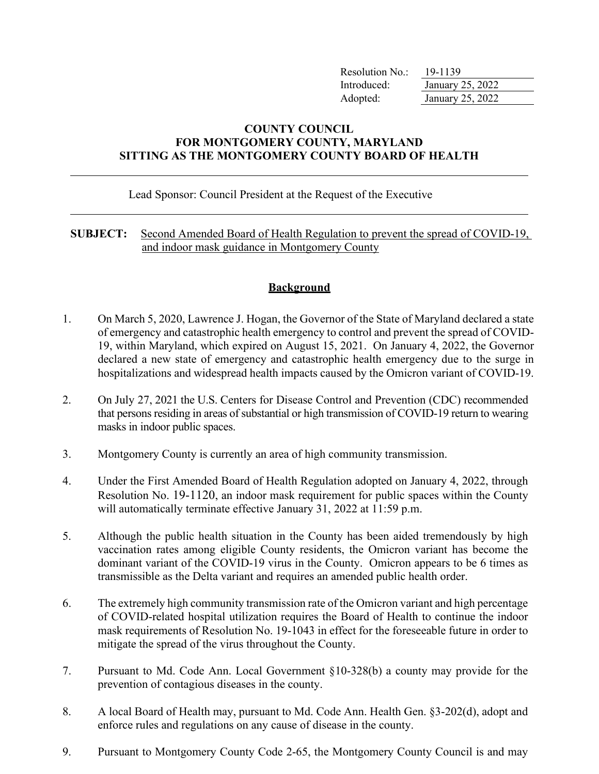| Resolution No.: | 19-1139          |
|-----------------|------------------|
| Introduced:     | January 25, 2022 |
| Adopted:        | January 25, 2022 |

## **COUNTY COUNCIL FOR MONTGOMERY COUNTY, MARYLAND SITTING AS THE MONTGOMERY COUNTY BOARD OF HEALTH**

#### Lead Sponsor: Council President at the Request of the Executive

#### **SUBJECT:** Second Amended Board of Health Regulation to prevent the spread of COVID-19, and indoor mask guidance in Montgomery County

### **Background**

- 1. On March 5, 2020, Lawrence J. Hogan, the Governor of the State of Maryland declared a state of emergency and catastrophic health emergency to control and prevent the spread of COVID-19, within Maryland, which expired on August 15, 2021. On January 4, 2022, the Governor declared a new state of emergency and catastrophic health emergency due to the surge in hospitalizations and widespread health impacts caused by the Omicron variant of COVID-19.
- 2. On July 27, 2021 the U.S. Centers for Disease Control and Prevention (CDC) recommended that persons residing in areas of substantial or high transmission of COVID-19 return to wearing masks in indoor public spaces.
- 3. Montgomery County is currently an area of high community transmission.
- 4. Under the First Amended Board of Health Regulation adopted on January 4, 2022, through Resolution No. 19-1120, an indoor mask requirement for public spaces within the County will automatically terminate effective January 31, 2022 at 11:59 p.m.
- 5. Although the public health situation in the County has been aided tremendously by high vaccination rates among eligible County residents, the Omicron variant has become the dominant variant of the COVID-19 virus in the County. Omicron appears to be 6 times as transmissible as the Delta variant and requires an amended public health order.
- 6. The extremely high community transmission rate of the Omicron variant and high percentage of COVID-related hospital utilization requires the Board of Health to continue the indoor mask requirements of Resolution No. 19-1043 in effect for the foreseeable future in order to mitigate the spread of the virus throughout the County.
- 7. Pursuant to Md. Code Ann. Local Government §10-328(b) a county may provide for the prevention of contagious diseases in the county.
- 8. A local Board of Health may, pursuant to Md. Code Ann. Health Gen. §3-202(d), adopt and enforce rules and regulations on any cause of disease in the county.
- 9. Pursuant to Montgomery County Code 2-65, the Montgomery County Council is and may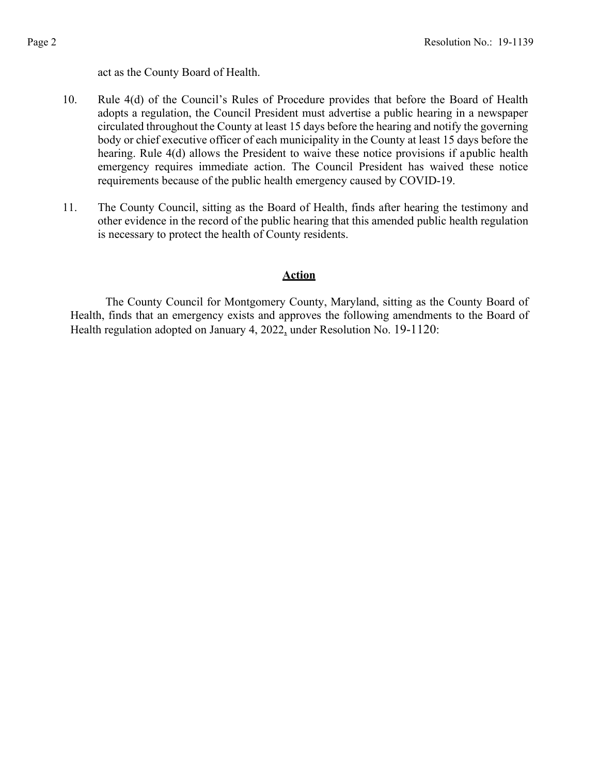act as the County Board of Health.

- 10. Rule 4(d) of the Council's Rules of Procedure provides that before the Board of Health adopts a regulation, the Council President must advertise a public hearing in a newspaper circulated throughout the County at least 15 days before the hearing and notify the governing body or chief executive officer of each municipality in the County at least 15 days before the hearing. Rule 4(d) allows the President to waive these notice provisions if apublic health emergency requires immediate action. The Council President has waived these notice requirements because of the public health emergency caused by COVID-19.
- 11. The County Council, sitting as the Board of Health, finds after hearing the testimony and other evidence in the record of the public hearing that this amended public health regulation is necessary to protect the health of County residents.

### **Action**

The County Council for Montgomery County, Maryland, sitting as the County Board of Health, finds that an emergency exists and approves the following amendments to the Board of Health regulation adopted on January 4, 2022, under Resolution No. 19-1120: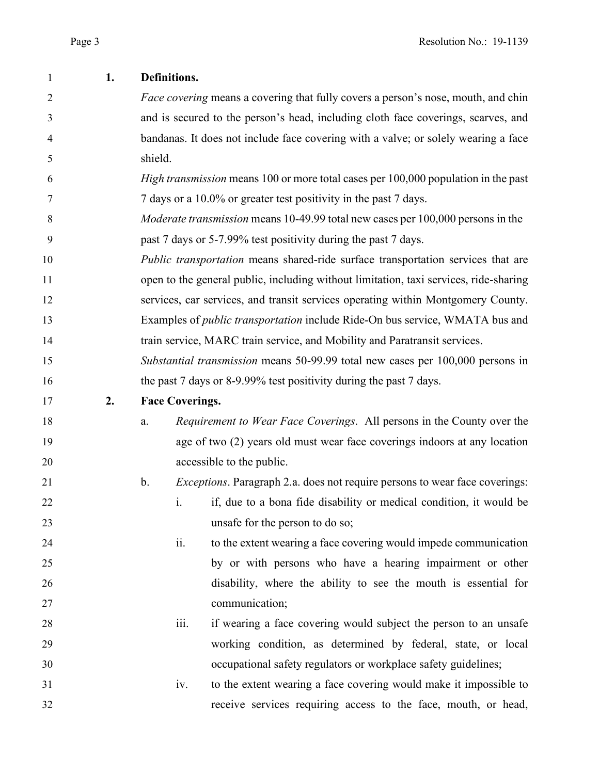| 1              | 1. | Definitions.                                                                          |                                                                                          |  |  |
|----------------|----|---------------------------------------------------------------------------------------|------------------------------------------------------------------------------------------|--|--|
| $\overline{2}$ |    |                                                                                       | <i>Face covering</i> means a covering that fully covers a person's nose, mouth, and chin |  |  |
| 3              |    |                                                                                       | and is secured to the person's head, including cloth face coverings, scarves, and        |  |  |
| 4              |    |                                                                                       | bandanas. It does not include face covering with a valve; or solely wearing a face       |  |  |
| 5              |    | shield.                                                                               |                                                                                          |  |  |
| 6              |    |                                                                                       | High transmission means 100 or more total cases per 100,000 population in the past       |  |  |
| 7              |    | 7 days or a 10.0% or greater test positivity in the past 7 days.                      |                                                                                          |  |  |
| 8              |    |                                                                                       | <i>Moderate transmission</i> means 10-49.99 total new cases per 100,000 persons in the   |  |  |
| 9              |    |                                                                                       | past 7 days or 5-7.99% test positivity during the past 7 days.                           |  |  |
| 10             |    |                                                                                       | Public transportation means shared-ride surface transportation services that are         |  |  |
| 11             |    | open to the general public, including without limitation, taxi services, ride-sharing |                                                                                          |  |  |
| 12             |    |                                                                                       | services, car services, and transit services operating within Montgomery County.         |  |  |
| 13             |    |                                                                                       | Examples of <i>public transportation</i> include Ride-On bus service, WMATA bus and      |  |  |
| 14             |    |                                                                                       | train service, MARC train service, and Mobility and Paratransit services.                |  |  |
| 15             |    |                                                                                       | Substantial transmission means 50-99.99 total new cases per 100,000 persons in           |  |  |
| 16             |    | the past 7 days or 8-9.99% test positivity during the past 7 days.                    |                                                                                          |  |  |
| 17             | 2. | <b>Face Coverings.</b>                                                                |                                                                                          |  |  |
| 18             |    | a.                                                                                    | Requirement to Wear Face Coverings. All persons in the County over the                   |  |  |
| 19             |    |                                                                                       | age of two (2) years old must wear face coverings indoors at any location                |  |  |
| 20             |    |                                                                                       | accessible to the public.                                                                |  |  |
| 21             |    | $\mathbf b$ .                                                                         | <i>Exceptions</i> . Paragraph 2.a. does not require persons to wear face coverings:      |  |  |
| 22             |    | 1.                                                                                    | if, due to a bona fide disability or medical condition, it would be                      |  |  |
| 23             |    |                                                                                       | unsafe for the person to do so;                                                          |  |  |
| 24             |    | ii.                                                                                   | to the extent wearing a face covering would impede communication                         |  |  |
| 25             |    |                                                                                       | by or with persons who have a hearing impairment or other                                |  |  |
| 26             |    |                                                                                       | disability, where the ability to see the mouth is essential for                          |  |  |
| 27             |    |                                                                                       | communication;                                                                           |  |  |
| 28             |    | iii.                                                                                  | if wearing a face covering would subject the person to an unsafe                         |  |  |
| 29             |    |                                                                                       | working condition, as determined by federal, state, or local                             |  |  |
| 30             |    |                                                                                       | occupational safety regulators or workplace safety guidelines;                           |  |  |
| 31             |    | iv.                                                                                   | to the extent wearing a face covering would make it impossible to                        |  |  |
| 32             |    |                                                                                       | receive services requiring access to the face, mouth, or head,                           |  |  |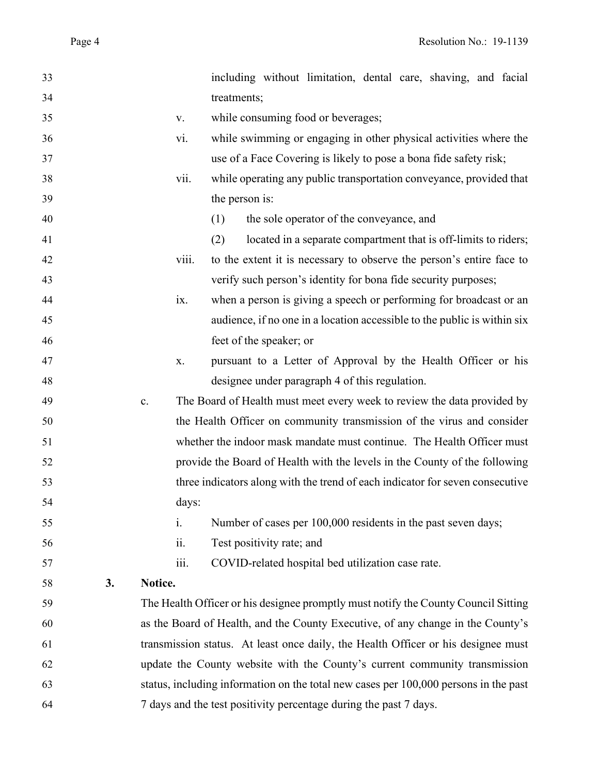| 33 |    |                                                                                 |       | including without limitation, dental care, shaving, and facial                       |
|----|----|---------------------------------------------------------------------------------|-------|--------------------------------------------------------------------------------------|
| 34 |    |                                                                                 |       | treatments;                                                                          |
| 35 |    |                                                                                 | V.    | while consuming food or beverages;                                                   |
| 36 |    |                                                                                 | vi.   | while swimming or engaging in other physical activities where the                    |
| 37 |    |                                                                                 |       | use of a Face Covering is likely to pose a bona fide safety risk;                    |
| 38 |    |                                                                                 | vii.  | while operating any public transportation conveyance, provided that                  |
| 39 |    |                                                                                 |       | the person is:                                                                       |
| 40 |    |                                                                                 |       | the sole operator of the conveyance, and<br>(1)                                      |
| 41 |    |                                                                                 |       | (2)<br>located in a separate compartment that is off-limits to riders;               |
| 42 |    |                                                                                 | viii. | to the extent it is necessary to observe the person's entire face to                 |
| 43 |    |                                                                                 |       | verify such person's identity for bona fide security purposes;                       |
| 44 |    |                                                                                 | ix.   | when a person is giving a speech or performing for broadcast or an                   |
| 45 |    |                                                                                 |       | audience, if no one in a location accessible to the public is within six             |
| 46 |    |                                                                                 |       | feet of the speaker; or                                                              |
| 47 |    |                                                                                 | X.    | pursuant to a Letter of Approval by the Health Officer or his                        |
| 48 |    |                                                                                 |       | designee under paragraph 4 of this regulation.                                       |
| 49 |    | $\mathbf{c}$ .                                                                  |       | The Board of Health must meet every week to review the data provided by              |
| 50 |    |                                                                                 |       | the Health Officer on community transmission of the virus and consider               |
| 51 |    |                                                                                 |       | whether the indoor mask mandate must continue. The Health Officer must               |
| 52 |    |                                                                                 |       | provide the Board of Health with the levels in the County of the following           |
| 53 |    |                                                                                 |       | three indicators along with the trend of each indicator for seven consecutive        |
| 54 |    |                                                                                 | days: |                                                                                      |
| 55 |    |                                                                                 | i.    | Number of cases per 100,000 residents in the past seven days;                        |
| 56 |    |                                                                                 | ii.   | Test positivity rate; and                                                            |
| 57 |    |                                                                                 | iii.  | COVID-related hospital bed utilization case rate.                                    |
| 58 | 3. | Notice.                                                                         |       |                                                                                      |
| 59 |    |                                                                                 |       | The Health Officer or his designee promptly must notify the County Council Sitting   |
| 60 |    | as the Board of Health, and the County Executive, of any change in the County's |       |                                                                                      |
| 61 |    |                                                                                 |       | transmission status. At least once daily, the Health Officer or his designee must    |
| 62 |    |                                                                                 |       | update the County website with the County's current community transmission           |
| 63 |    |                                                                                 |       | status, including information on the total new cases per 100,000 persons in the past |
| 64 |    | 7 days and the test positivity percentage during the past 7 days.               |       |                                                                                      |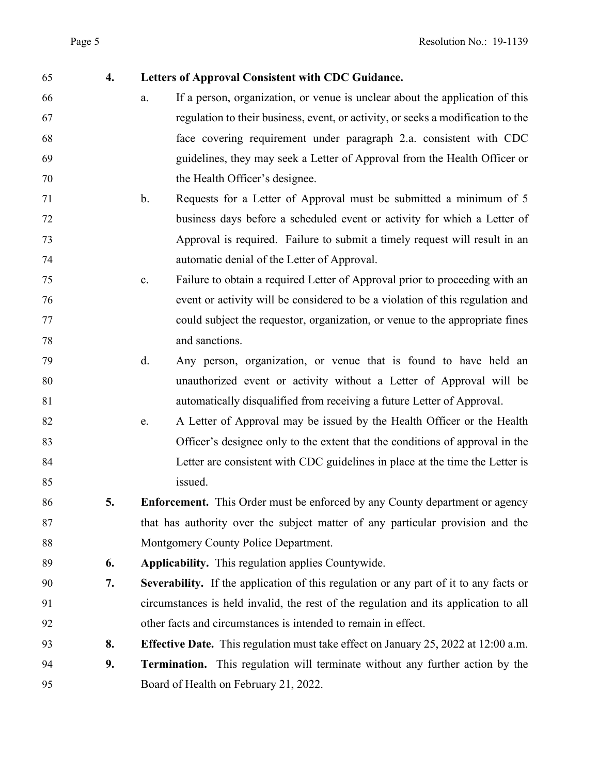| 55             | 4. | L            |
|----------------|----|--------------|
| $\frac{1}{6}$  |    | $\mathbf{a}$ |
| 57             |    |              |
| $\mathbf{8}$   |    |              |
| 59             |    |              |
| $\overline{0}$ |    |              |
| $\overline{1}$ |    | $\mathbf b$  |
| $\overline{2}$ |    |              |
| $\overline{3}$ |    |              |
| $\frac{4}{3}$  |    |              |
| $\overline{5}$ |    | $\mathbf{c}$ |
| $\overline{6}$ |    |              |
| $\overline{7}$ |    |              |
| $\overline{8}$ |    |              |
|                |    |              |

# **4. Letters of Approval Consistent with CDC Guidance.**

- a. If a person, organization, or venue is unclear about the application of this regulation to their business, event, or activity, or seeks a modification to the face covering requirement under paragraph 2.a. consistent with CDC guidelines, they may seek a Letter of Approval from the Health Officer or the Health Officer's designee.
- b. Requests for a Letter of Approval must be submitted a minimum of 5 business days before a scheduled event or activity for which a Letter of Approval is required. Failure to submit a timely request will result in an automatic denial of the Letter of Approval.
- c. Failure to obtain a required Letter of Approval prior to proceeding with an event or activity will be considered to be a violation of this regulation and could subject the requestor, organization, or venue to the appropriate fines and sanctions.
- d. Any person, organization, or venue that is found to have held an unauthorized event or activity without a Letter of Approval will be automatically disqualified from receiving a future Letter of Approval.
- e. A Letter of Approval may be issued by the Health Officer or the Health Officer's designee only to the extent that the conditions of approval in the Letter are consistent with CDC guidelines in place at the time the Letter is issued.
- **5. Enforcement.** This Order must be enforced by any County department or agency that has authority over the subject matter of any particular provision and the Montgomery County Police Department.
- **6. Applicability.** This regulation applies Countywide.
- **7. Severability.** If the application of this regulation or any part of it to any facts or circumstances is held invalid, the rest of the regulation and its application to all other facts and circumstances is intended to remain in effect.
- **8. Effective Date.** This regulation must take effect on January 25, 2022 at 12:00 a.m.
- **9. Termination.** This regulation will terminate without any further action by the Board of Health on February 21, 2022.